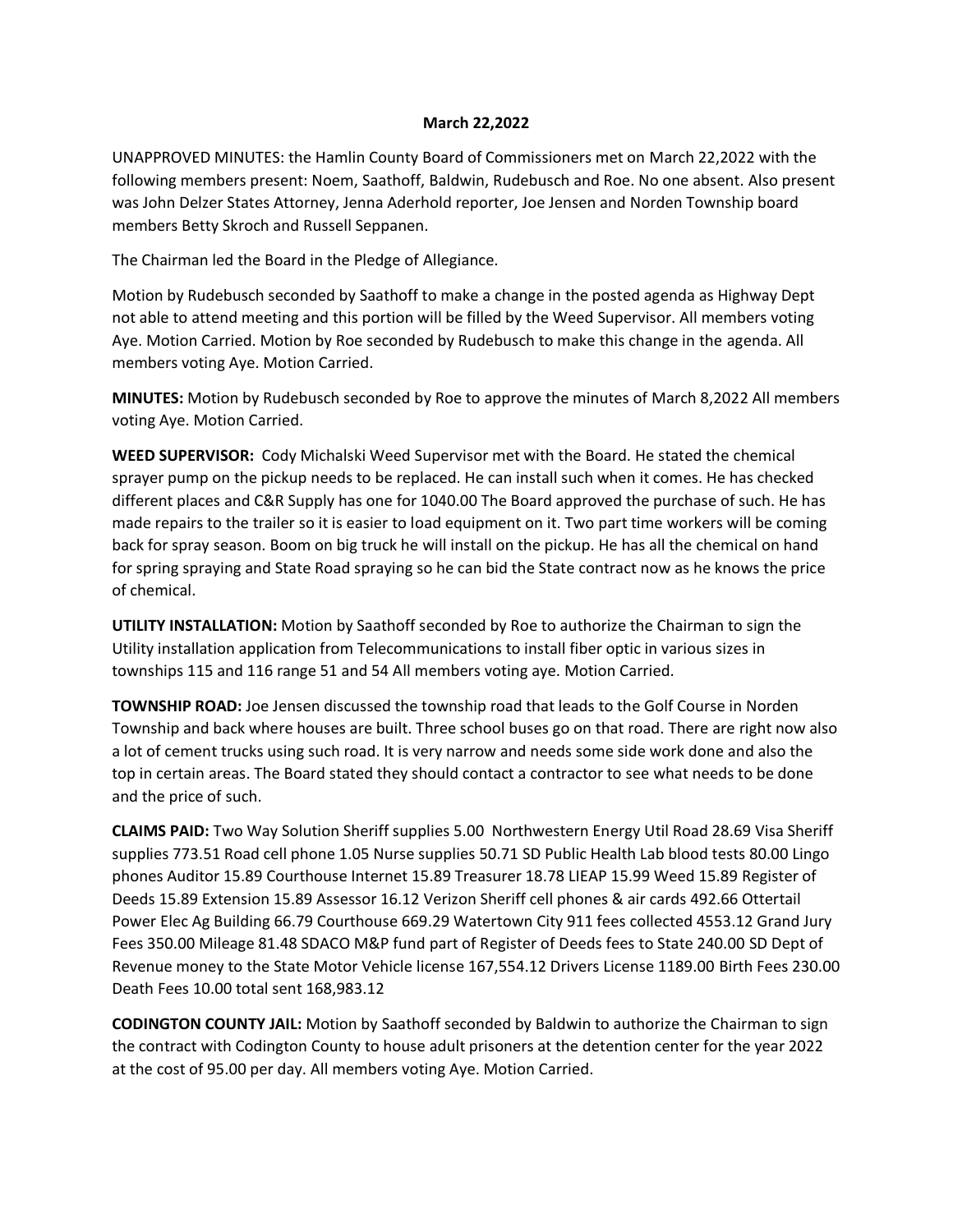## **March 22,2022**

UNAPPROVED MINUTES: the Hamlin County Board of Commissioners met on March 22,2022 with the following members present: Noem, Saathoff, Baldwin, Rudebusch and Roe. No one absent. Also present was John Delzer States Attorney, Jenna Aderhold reporter, Joe Jensen and Norden Township board members Betty Skroch and Russell Seppanen.

The Chairman led the Board in the Pledge of Allegiance.

Motion by Rudebusch seconded by Saathoff to make a change in the posted agenda as Highway Dept not able to attend meeting and this portion will be filled by the Weed Supervisor. All members voting Aye. Motion Carried. Motion by Roe seconded by Rudebusch to make this change in the agenda. All members voting Aye. Motion Carried.

**MINUTES:** Motion by Rudebusch seconded by Roe to approve the minutes of March 8,2022 All members voting Aye. Motion Carried.

**WEED SUPERVISOR:** Cody Michalski Weed Supervisor met with the Board. He stated the chemical sprayer pump on the pickup needs to be replaced. He can install such when it comes. He has checked different places and C&R Supply has one for 1040.00 The Board approved the purchase of such. He has made repairs to the trailer so it is easier to load equipment on it. Two part time workers will be coming back for spray season. Boom on big truck he will install on the pickup. He has all the chemical on hand for spring spraying and State Road spraying so he can bid the State contract now as he knows the price of chemical.

**UTILITY INSTALLATION:** Motion by Saathoff seconded by Roe to authorize the Chairman to sign the Utility installation application from Telecommunications to install fiber optic in various sizes in townships 115 and 116 range 51 and 54 All members voting aye. Motion Carried.

**TOWNSHIP ROAD:** Joe Jensen discussed the township road that leads to the Golf Course in Norden Township and back where houses are built. Three school buses go on that road. There are right now also a lot of cement trucks using such road. It is very narrow and needs some side work done and also the top in certain areas. The Board stated they should contact a contractor to see what needs to be done and the price of such.

**CLAIMS PAID:** Two Way Solution Sheriff supplies 5.00 Northwestern Energy Util Road 28.69 Visa Sheriff supplies 773.51 Road cell phone 1.05 Nurse supplies 50.71 SD Public Health Lab blood tests 80.00 Lingo phones Auditor 15.89 Courthouse Internet 15.89 Treasurer 18.78 LIEAP 15.99 Weed 15.89 Register of Deeds 15.89 Extension 15.89 Assessor 16.12 Verizon Sheriff cell phones & air cards 492.66 Ottertail Power Elec Ag Building 66.79 Courthouse 669.29 Watertown City 911 fees collected 4553.12 Grand Jury Fees 350.00 Mileage 81.48 SDACO M&P fund part of Register of Deeds fees to State 240.00 SD Dept of Revenue money to the State Motor Vehicle license 167,554.12 Drivers License 1189.00 Birth Fees 230.00 Death Fees 10.00 total sent 168,983.12

**CODINGTON COUNTY JAIL:** Motion by Saathoff seconded by Baldwin to authorize the Chairman to sign the contract with Codington County to house adult prisoners at the detention center for the year 2022 at the cost of 95.00 per day. All members voting Aye. Motion Carried.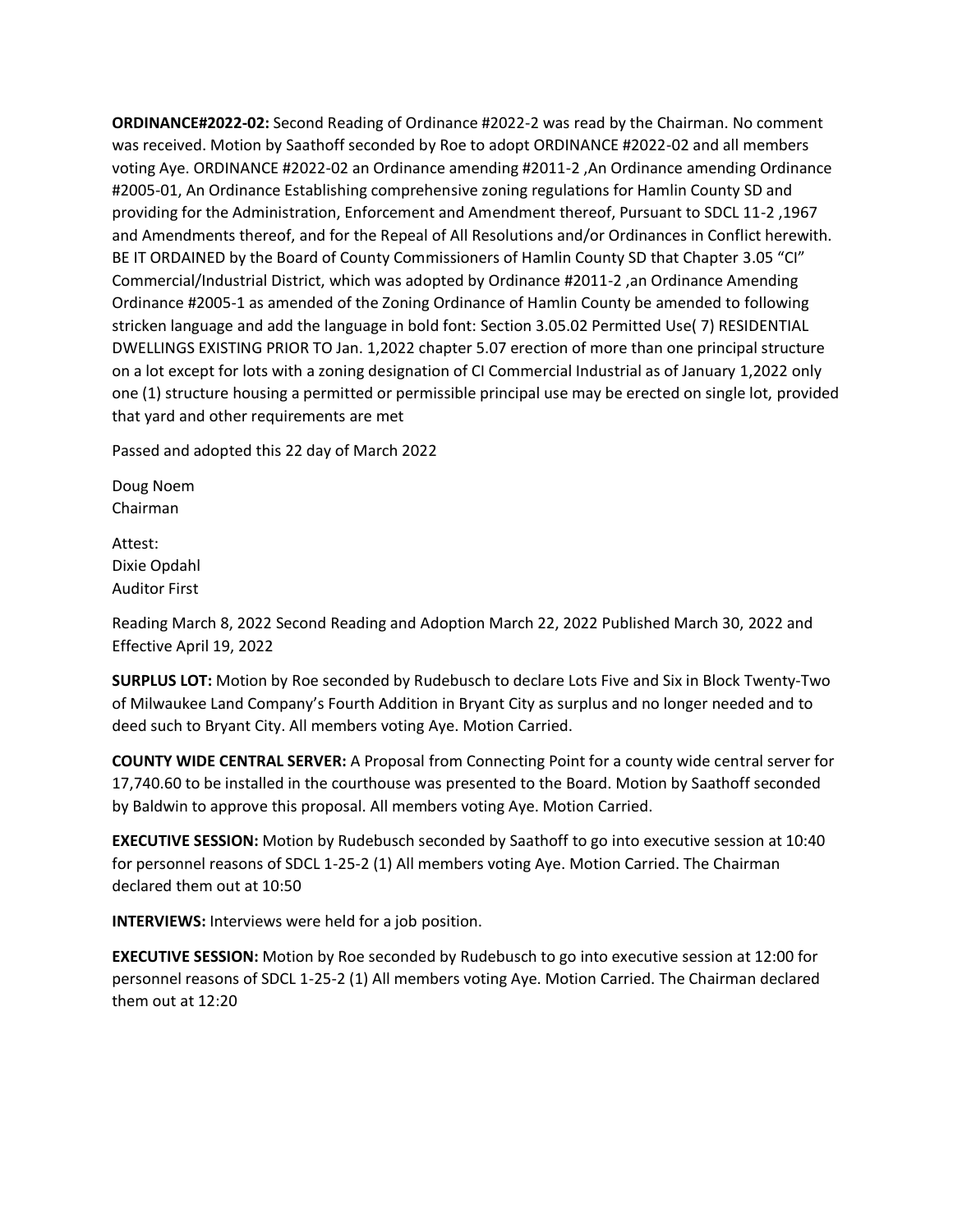**ORDINANCE#2022-02:** Second Reading of Ordinance #2022-2 was read by the Chairman. No comment was received. Motion by Saathoff seconded by Roe to adopt ORDINANCE #2022-02 and all members voting Aye. ORDINANCE #2022-02 an Ordinance amending #2011-2 ,An Ordinance amending Ordinance #2005-01, An Ordinance Establishing comprehensive zoning regulations for Hamlin County SD and providing for the Administration, Enforcement and Amendment thereof, Pursuant to SDCL 11-2 ,1967 and Amendments thereof, and for the Repeal of All Resolutions and/or Ordinances in Conflict herewith. BE IT ORDAINED by the Board of County Commissioners of Hamlin County SD that Chapter 3.05 "CI" Commercial/Industrial District, which was adopted by Ordinance #2011-2 ,an Ordinance Amending Ordinance #2005-1 as amended of the Zoning Ordinance of Hamlin County be amended to following stricken language and add the language in bold font: Section 3.05.02 Permitted Use( 7) RESIDENTIAL DWELLINGS EXISTING PRIOR TO Jan. 1,2022 chapter 5.07 erection of more than one principal structure on a lot except for lots with a zoning designation of CI Commercial Industrial as of January 1,2022 only one (1) structure housing a permitted or permissible principal use may be erected on single lot, provided that yard and other requirements are met

Passed and adopted this 22 day of March 2022

Doug Noem Chairman

Attest: Dixie Opdahl Auditor First

Reading March 8, 2022 Second Reading and Adoption March 22, 2022 Published March 30, 2022 and Effective April 19, 2022

**SURPLUS LOT:** Motion by Roe seconded by Rudebusch to declare Lots Five and Six in Block Twenty-Two of Milwaukee Land Company's Fourth Addition in Bryant City as surplus and no longer needed and to deed such to Bryant City. All members voting Aye. Motion Carried.

**COUNTY WIDE CENTRAL SERVER:** A Proposal from Connecting Point for a county wide central server for 17,740.60 to be installed in the courthouse was presented to the Board. Motion by Saathoff seconded by Baldwin to approve this proposal. All members voting Aye. Motion Carried.

**EXECUTIVE SESSION:** Motion by Rudebusch seconded by Saathoff to go into executive session at 10:40 for personnel reasons of SDCL 1-25-2 (1) All members voting Aye. Motion Carried. The Chairman declared them out at 10:50

**INTERVIEWS:** Interviews were held for a job position.

**EXECUTIVE SESSION:** Motion by Roe seconded by Rudebusch to go into executive session at 12:00 for personnel reasons of SDCL 1-25-2 (1) All members voting Aye. Motion Carried. The Chairman declared them out at 12:20